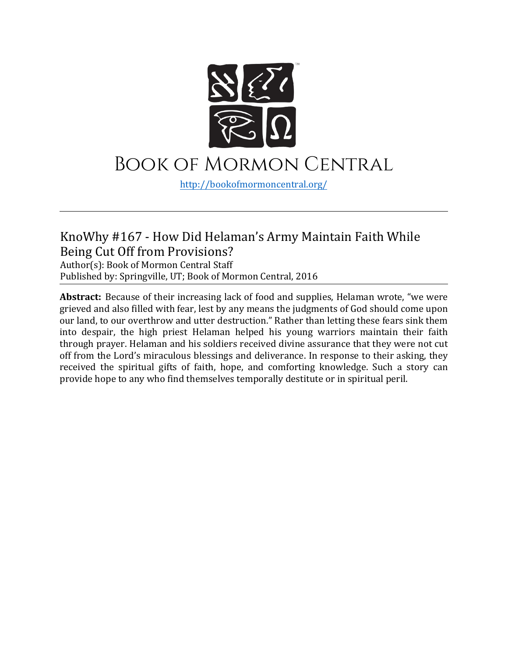

# Book of Mormon Central

[http://bookofmormoncentral.](http://bookofmormoncentral.com/)org/

#### KnoWhy #167 - How Did Helaman's Army Maintain Faith While Being Cut Off from Provisions?

Author(s): Book of Mormon Central Staff Published by: Springville, UT; Book of Mormon Central, 2016

**Abstract:** Because of their increasing lack of food and supplies, Helaman wrote, "we were grieved and also filled with fear, lest by any means the judgments of God should come upon our land, to our overthrow and utter destruction." Rather than letting these fears sink them into despair, the high priest Helaman helped his young warriors maintain their faith through prayer. Helaman and his soldiers received divine assurance that they were not cut off from the Lord's miraculous blessings and deliverance. In response to their asking, they received the spiritual gifts of faith, hope, and comforting knowledge. Such a story can provide hope to any who find themselves temporally destitute or in spiritual peril.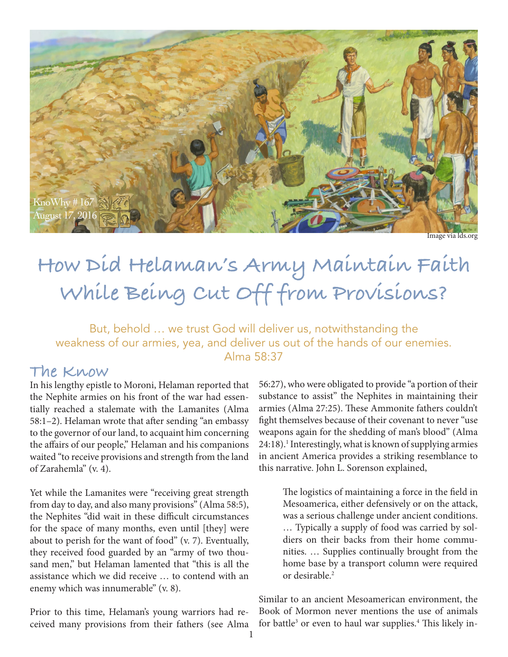

Image via lds.org

# **How Did Helaman's Army Maintain Faith While Being Cut Off from Provisions?**

But, behold … we trust God will deliver us, notwithstanding the weakness of our armies, yea, and deliver us out of the hands of our enemies. Alma 58:37

#### **The Know**

In his lengthy epistle to Moroni, Helaman reported that the Nephite armies on his front of the war had essentially reached a stalemate with the Lamanites (Alma 58:1–2). Helaman wrote that after sending "an embassy to the governor of our land, to acquaint him concerning the affairs of our people," Helaman and his companions waited "to receive provisions and strength from the land of Zarahemla" (v. 4).

Yet while the Lamanites were "receiving great strength from day to day, and also many provisions" (Alma 58:5), the Nephites "did wait in these difficult circumstances for the space of many months, even until [they] were about to perish for the want of food" (v. 7). Eventually, they received food guarded by an "army of two thousand men," but Helaman lamented that "this is all the assistance which we did receive … to contend with an enemy which was innumerable" (v. 8).

Prior to this time, Helaman's young warriors had received many provisions from their fathers (see Alma 56:27), who were obligated to provide "a portion of their substance to assist" the Nephites in maintaining their armies (Alma 27:25). These Ammonite fathers couldn't fight themselves because of their covenant to never "use weapons again for the shedding of man's blood" (Alma 24:18).<sup>1</sup> Interestingly, what is known of supplying armies in ancient America provides a striking resemblance to this narrative. John L. Sorenson explained,

> The logistics of maintaining a force in the field in Mesoamerica, either defensively or on the attack, was a serious challenge under ancient conditions. … Typically a supply of food was carried by soldiers on their backs from their home communities. … Supplies continually brought from the home base by a transport column were required or desirable.<sup>2</sup>

Similar to an ancient Mesoamerican environment, the Book of Mormon never mentions the use of animals for battle<sup>3</sup> or even to haul war supplies.<sup>4</sup> This likely in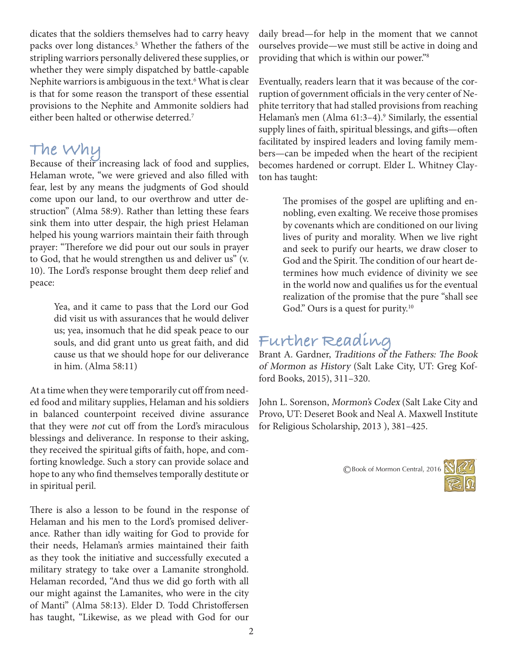dicates that the soldiers themselves had to carry heavy packs over long distances.<sup>5</sup> Whether the fathers of the stripling warriors personally delivered these supplies, or whether they were simply dispatched by battle-capable Nephite warriors is ambiguous in the text.<sup>6</sup> What is clear is that for some reason the transport of these essential provisions to the Nephite and Ammonite soldiers had either been halted or otherwise deterred.<sup>7</sup>

## **The Why**

Because of their increasing lack of food and supplies, Helaman wrote, "we were grieved and also filled with fear, lest by any means the judgments of God should come upon our land, to our overthrow and utter destruction" (Alma 58:9). Rather than letting these fears sink them into utter despair, the high priest Helaman helped his young warriors maintain their faith through prayer: "Therefore we did pour out our souls in prayer to God, that he would strengthen us and deliver us" (v. 10). The Lord's response brought them deep relief and peace:

> Yea, and it came to pass that the Lord our God did visit us with assurances that he would deliver us; yea, insomuch that he did speak peace to our souls, and did grant unto us great faith, and did cause us that we should hope for our deliverance in him. (Alma 58:11)

At a time when they were temporarily cut off from needed food and military supplies, Helaman and his soldiers in balanced counterpoint received divine assurance that they were not cut off from the Lord's miraculous blessings and deliverance. In response to their asking, they received the spiritual gifts of faith, hope, and comforting knowledge. Such a story can provide solace and hope to any who find themselves temporally destitute or in spiritual peril.

There is also a lesson to be found in the response of Helaman and his men to the Lord's promised deliverance. Rather than idly waiting for God to provide for their needs, Helaman's armies maintained their faith as they took the initiative and successfully executed a military strategy to take over a Lamanite stronghold. Helaman recorded, "And thus we did go forth with all our might against the Lamanites, who were in the city of Manti" (Alma 58:13). Elder D. Todd Christoffersen has taught, "Likewise, as we plead with God for our

daily bread—for help in the moment that we cannot ourselves provide—we must still be active in doing and providing that which is within our power."8

Eventually, readers learn that it was because of the corruption of government officials in the very center of Nephite territory that had stalled provisions from reaching Helaman's men (Alma 61:3–4).<sup>9</sup> Similarly, the essential supply lines of faith, spiritual blessings, and gifts—often facilitated by inspired leaders and loving family members—can be impeded when the heart of the recipient becomes hardened or corrupt. Elder L. Whitney Clayton has taught:

> The promises of the gospel are uplifting and ennobling, even exalting. We receive those promises by covenants which are conditioned on our living lives of purity and morality. When we live right and seek to purify our hearts, we draw closer to God and the Spirit. The condition of our heart determines how much evidence of divinity we see in the world now and qualifies us for the eventual realization of the promise that the pure "shall see God." Ours is a quest for purity.<sup>10</sup>

### **Further Reading**

Brant A. Gardner, Traditions of the Fathers: The Book of Mormon as History (Salt Lake City, UT: Greg Kofford Books, 2015), 311–320.

John L. Sorenson, Mormon's Codex (Salt Lake City and Provo, UT: Deseret Book and Neal A. Maxwell Institute for Religious Scholarship, 2013 ), 381–425.

©Book of Mormon Central, 2016